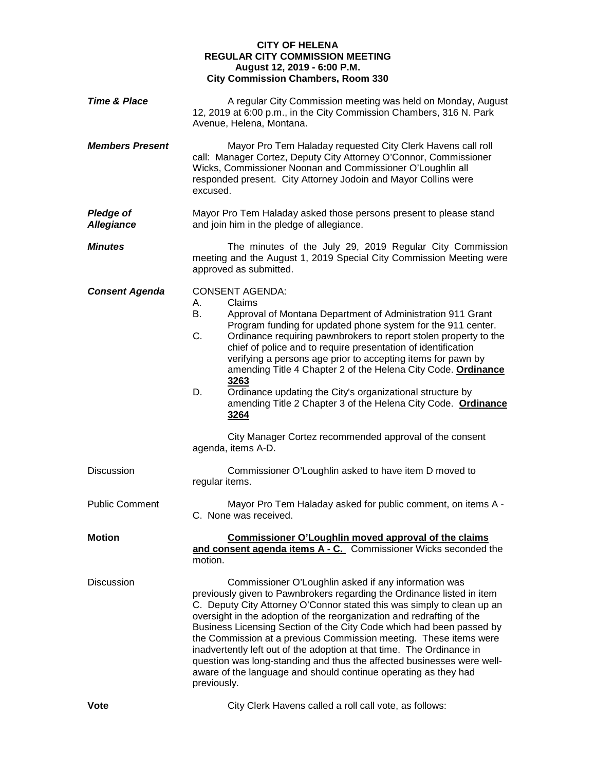## **CITY OF HELENA REGULAR CITY COMMISSION MEETING August 12, 2019 - 6:00 P.M. City Commission Chambers, Room 330**

| <b>Time &amp; Place</b>               | A regular City Commission meeting was held on Monday, August<br>12, 2019 at 6:00 p.m., in the City Commission Chambers, 316 N. Park<br>Avenue, Helena, Montana.                                                                                                                                                                                                                                                                                                                                                                                                                                                                                                                             |
|---------------------------------------|---------------------------------------------------------------------------------------------------------------------------------------------------------------------------------------------------------------------------------------------------------------------------------------------------------------------------------------------------------------------------------------------------------------------------------------------------------------------------------------------------------------------------------------------------------------------------------------------------------------------------------------------------------------------------------------------|
| <b>Members Present</b>                | Mayor Pro Tem Haladay requested City Clerk Havens call roll<br>call: Manager Cortez, Deputy City Attorney O'Connor, Commissioner<br>Wicks, Commissioner Noonan and Commissioner O'Loughlin all<br>responded present. City Attorney Jodoin and Mayor Collins were<br>excused.                                                                                                                                                                                                                                                                                                                                                                                                                |
| <b>Pledge of</b><br><b>Allegiance</b> | Mayor Pro Tem Haladay asked those persons present to please stand<br>and join him in the pledge of allegiance.                                                                                                                                                                                                                                                                                                                                                                                                                                                                                                                                                                              |
| <b>Minutes</b>                        | The minutes of the July 29, 2019 Regular City Commission<br>meeting and the August 1, 2019 Special City Commission Meeting were<br>approved as submitted.                                                                                                                                                                                                                                                                                                                                                                                                                                                                                                                                   |
| <b>Consent Agenda</b>                 | <b>CONSENT AGENDA:</b><br>Claims<br>А.<br>В.<br>Approval of Montana Department of Administration 911 Grant<br>Program funding for updated phone system for the 911 center.<br>C.<br>Ordinance requiring pawnbrokers to report stolen property to the<br>chief of police and to require presentation of identification<br>verifying a persons age prior to accepting items for pawn by<br>amending Title 4 Chapter 2 of the Helena City Code. Ordinance<br>3263<br>D.<br>Ordinance updating the City's organizational structure by<br>amending Title 2 Chapter 3 of the Helena City Code. Ordinance<br>3264<br>City Manager Cortez recommended approval of the consent<br>agenda, items A-D. |
| <b>Discussion</b>                     | Commissioner O'Loughlin asked to have item D moved to<br>regular items.                                                                                                                                                                                                                                                                                                                                                                                                                                                                                                                                                                                                                     |
| <b>Public Comment</b>                 | Mayor Pro Tem Haladay asked for public comment, on items A -<br>C. None was received.                                                                                                                                                                                                                                                                                                                                                                                                                                                                                                                                                                                                       |
| <b>Motion</b>                         | Commissioner O'Loughlin moved approval of the claims<br>and consent agenda items A - C. Commissioner Wicks seconded the<br>motion.                                                                                                                                                                                                                                                                                                                                                                                                                                                                                                                                                          |
| <b>Discussion</b>                     | Commissioner O'Loughlin asked if any information was<br>previously given to Pawnbrokers regarding the Ordinance listed in item<br>C. Deputy City Attorney O'Connor stated this was simply to clean up an<br>oversight in the adoption of the reorganization and redrafting of the<br>Business Licensing Section of the City Code which had been passed by<br>the Commission at a previous Commission meeting. These items were<br>inadvertently left out of the adoption at that time. The Ordinance in<br>question was long-standing and thus the affected businesses were well-<br>aware of the language and should continue operating as they had<br>previously.                         |

**Vote** City Clerk Havens called a roll call vote, as follows: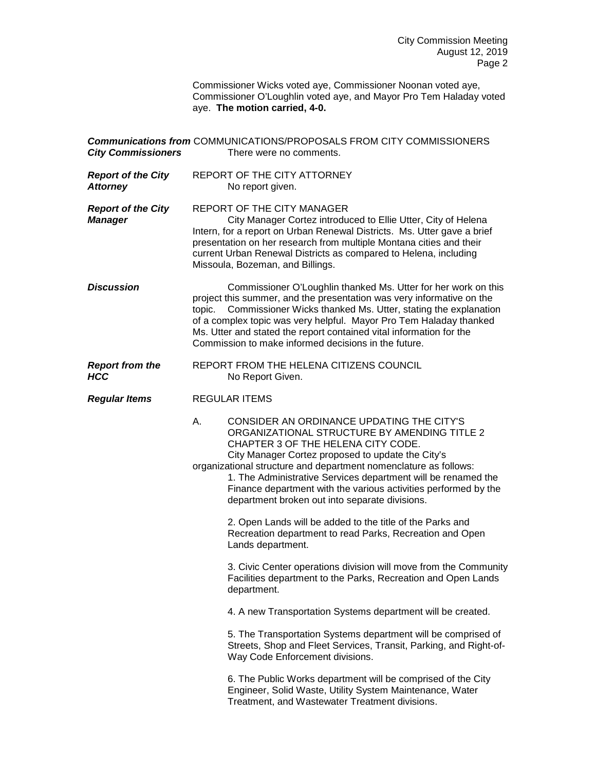Commissioner Wicks voted aye, Commissioner Noonan voted aye, Commissioner O'Loughlin voted aye, and Mayor Pro Tem Haladay voted aye. **The motion carried, 4-0.**

| <b>City Commissioners</b>                    | <b>Communications from COMMUNICATIONS/PROPOSALS FROM CITY COMMISSIONERS</b><br>There were no comments.                                                                                                                                                                                                                                                                                                                                               |
|----------------------------------------------|------------------------------------------------------------------------------------------------------------------------------------------------------------------------------------------------------------------------------------------------------------------------------------------------------------------------------------------------------------------------------------------------------------------------------------------------------|
| <b>Report of the City</b><br><b>Attorney</b> | REPORT OF THE CITY ATTORNEY<br>No report given.                                                                                                                                                                                                                                                                                                                                                                                                      |
| <b>Report of the City</b><br><b>Manager</b>  | <b>REPORT OF THE CITY MANAGER</b><br>City Manager Cortez introduced to Ellie Utter, City of Helena<br>Intern, for a report on Urban Renewal Districts. Ms. Utter gave a brief<br>presentation on her research from multiple Montana cities and their<br>current Urban Renewal Districts as compared to Helena, including<br>Missoula, Bozeman, and Billings.                                                                                         |
| <b>Discussion</b>                            | Commissioner O'Loughlin thanked Ms. Utter for her work on this<br>project this summer, and the presentation was very informative on the<br>Commissioner Wicks thanked Ms. Utter, stating the explanation<br>topic.<br>of a complex topic was very helpful. Mayor Pro Tem Haladay thanked<br>Ms. Utter and stated the report contained vital information for the<br>Commission to make informed decisions in the future.                              |
| <b>Report from the</b><br><b>HCC</b>         | REPORT FROM THE HELENA CITIZENS COUNCIL<br>No Report Given.                                                                                                                                                                                                                                                                                                                                                                                          |
| <b>Regular Items</b>                         | <b>REGULAR ITEMS</b>                                                                                                                                                                                                                                                                                                                                                                                                                                 |
|                                              | CONSIDER AN ORDINANCE UPDATING THE CITY'S<br>А.<br>ORGANIZATIONAL STRUCTURE BY AMENDING TITLE 2<br>CHAPTER 3 OF THE HELENA CITY CODE.<br>City Manager Cortez proposed to update the City's<br>organizational structure and department nomenclature as follows:<br>1. The Administrative Services department will be renamed the<br>Finance department with the various activities performed by the<br>department broken out into separate divisions. |
|                                              | 2. Open Lands will be added to the title of the Parks and<br>Recreation department to read Parks, Recreation and Open<br>Lands department.                                                                                                                                                                                                                                                                                                           |
|                                              | 3. Civic Center operations division will move from the Community<br>Facilities department to the Parks, Recreation and Open Lands<br>department.                                                                                                                                                                                                                                                                                                     |
|                                              | 4. A new Transportation Systems department will be created.                                                                                                                                                                                                                                                                                                                                                                                          |
|                                              | 5. The Transportation Systems department will be comprised of<br>Streets, Shop and Fleet Services, Transit, Parking, and Right-of-<br>Way Code Enforcement divisions.                                                                                                                                                                                                                                                                                |
|                                              | 6. The Public Works department will be comprised of the City<br>Engineer, Solid Waste, Utility System Maintenance, Water<br>Treatment, and Wastewater Treatment divisions.                                                                                                                                                                                                                                                                           |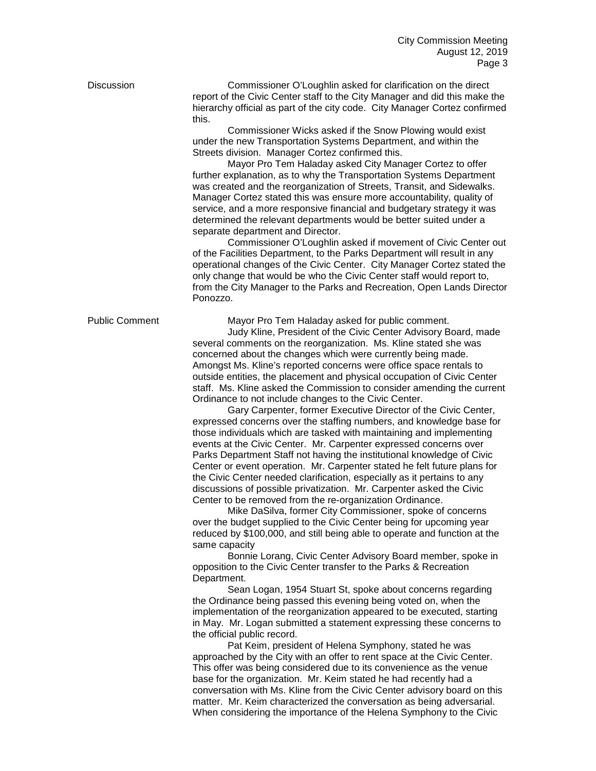Discussion Commissioner O'Loughlin asked for clarification on the direct report of the Civic Center staff to the City Manager and did this make the hierarchy official as part of the city code. City Manager Cortez confirmed this.

> Commissioner Wicks asked if the Snow Plowing would exist under the new Transportation Systems Department, and within the Streets division. Manager Cortez confirmed this.

Mayor Pro Tem Haladay asked City Manager Cortez to offer further explanation, as to why the Transportation Systems Department was created and the reorganization of Streets, Transit, and Sidewalks. Manager Cortez stated this was ensure more accountability, quality of service, and a more responsive financial and budgetary strategy it was determined the relevant departments would be better suited under a separate department and Director.

Commissioner O'Loughlin asked if movement of Civic Center out of the Facilities Department, to the Parks Department will result in any operational changes of the Civic Center. City Manager Cortez stated the only change that would be who the Civic Center staff would report to, from the City Manager to the Parks and Recreation, Open Lands Director Ponozzo.

Public Comment Mayor Pro Tem Haladay asked for public comment.

Judy Kline, President of the Civic Center Advisory Board, made several comments on the reorganization. Ms. Kline stated she was concerned about the changes which were currently being made. Amongst Ms. Kline's reported concerns were office space rentals to outside entities, the placement and physical occupation of Civic Center staff. Ms. Kline asked the Commission to consider amending the current Ordinance to not include changes to the Civic Center.

Gary Carpenter, former Executive Director of the Civic Center, expressed concerns over the staffing numbers, and knowledge base for those individuals which are tasked with maintaining and implementing events at the Civic Center. Mr. Carpenter expressed concerns over Parks Department Staff not having the institutional knowledge of Civic Center or event operation. Mr. Carpenter stated he felt future plans for the Civic Center needed clarification, especially as it pertains to any discussions of possible privatization. Mr. Carpenter asked the Civic Center to be removed from the re-organization Ordinance.

Mike DaSilva, former City Commissioner, spoke of concerns over the budget supplied to the Civic Center being for upcoming year reduced by \$100,000, and still being able to operate and function at the same capacity

Bonnie Lorang, Civic Center Advisory Board member, spoke in opposition to the Civic Center transfer to the Parks & Recreation Department.

Sean Logan, 1954 Stuart St, spoke about concerns regarding the Ordinance being passed this evening being voted on, when the implementation of the reorganization appeared to be executed, starting in May. Mr. Logan submitted a statement expressing these concerns to the official public record.

Pat Keim, president of Helena Symphony, stated he was approached by the City with an offer to rent space at the Civic Center. This offer was being considered due to its convenience as the venue base for the organization. Mr. Keim stated he had recently had a conversation with Ms. Kline from the Civic Center advisory board on this matter. Mr. Keim characterized the conversation as being adversarial. When considering the importance of the Helena Symphony to the Civic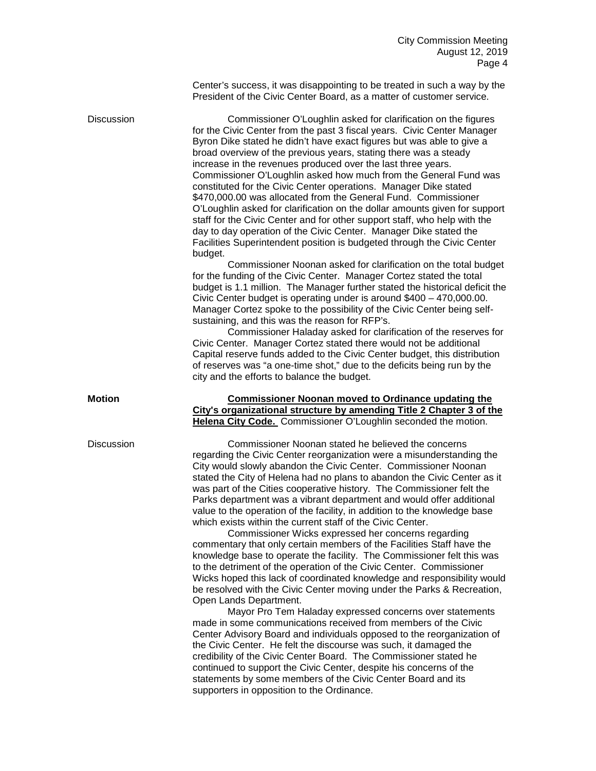Center's success, it was disappointing to be treated in such a way by the President of the Civic Center Board, as a matter of customer service.

Discussion Commissioner O'Loughlin asked for clarification on the figures for the Civic Center from the past 3 fiscal years. Civic Center Manager Byron Dike stated he didn't have exact figures but was able to give a broad overview of the previous years, stating there was a steady increase in the revenues produced over the last three years. Commissioner O'Loughlin asked how much from the General Fund was constituted for the Civic Center operations. Manager Dike stated \$470,000.00 was allocated from the General Fund. Commissioner O'Loughlin asked for clarification on the dollar amounts given for support staff for the Civic Center and for other support staff, who help with the day to day operation of the Civic Center. Manager Dike stated the Facilities Superintendent position is budgeted through the Civic Center budget.

Commissioner Noonan asked for clarification on the total budget for the funding of the Civic Center. Manager Cortez stated the total budget is 1.1 million. The Manager further stated the historical deficit the Civic Center budget is operating under is around \$400 – 470,000.00. Manager Cortez spoke to the possibility of the Civic Center being selfsustaining, and this was the reason for RFP's.

Commissioner Haladay asked for clarification of the reserves for Civic Center. Manager Cortez stated there would not be additional Capital reserve funds added to the Civic Center budget, this distribution of reserves was "a one-time shot," due to the deficits being run by the city and the efforts to balance the budget.

## **Motion Commissioner Noonan moved to Ordinance updating the City's organizational structure by amending Title 2 Chapter 3 of the Helena City Code.** Commissioner O'Loughlin seconded the motion.

Discussion Commissioner Noonan stated he believed the concerns regarding the Civic Center reorganization were a misunderstanding the City would slowly abandon the Civic Center. Commissioner Noonan stated the City of Helena had no plans to abandon the Civic Center as it was part of the Cities cooperative history. The Commissioner felt the Parks department was a vibrant department and would offer additional value to the operation of the facility, in addition to the knowledge base which exists within the current staff of the Civic Center.

Commissioner Wicks expressed her concerns regarding commentary that only certain members of the Facilities Staff have the knowledge base to operate the facility. The Commissioner felt this was to the detriment of the operation of the Civic Center. Commissioner Wicks hoped this lack of coordinated knowledge and responsibility would be resolved with the Civic Center moving under the Parks & Recreation, Open Lands Department.

Mayor Pro Tem Haladay expressed concerns over statements made in some communications received from members of the Civic Center Advisory Board and individuals opposed to the reorganization of the Civic Center. He felt the discourse was such, it damaged the credibility of the Civic Center Board. The Commissioner stated he continued to support the Civic Center, despite his concerns of the statements by some members of the Civic Center Board and its supporters in opposition to the Ordinance.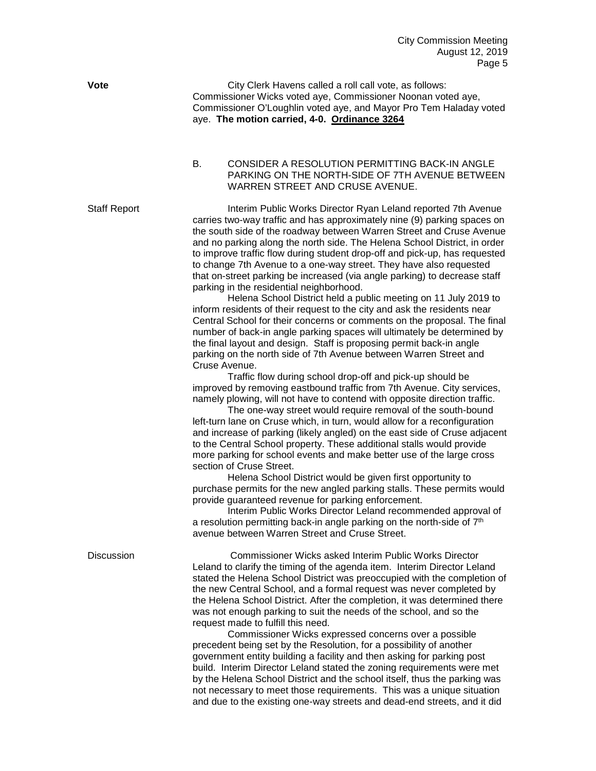**Vote** City Clerk Havens called a roll call vote, as follows: Commissioner Wicks voted aye, Commissioner Noonan voted aye, Commissioner O'Loughlin voted aye, and Mayor Pro Tem Haladay voted aye. **The motion carried, 4-0. Ordinance 3264**

> B. CONSIDER A RESOLUTION PERMITTING BACK-IN ANGLE PARKING ON THE NORTH-SIDE OF 7TH AVENUE BETWEEN WARREN STREET AND CRUSE AVENUE.

Staff Report **Interim Public Works Director Ryan Leland reported 7th Avenue** carries two-way traffic and has approximately nine (9) parking spaces on the south side of the roadway between Warren Street and Cruse Avenue and no parking along the north side. The Helena School District, in order to improve traffic flow during student drop-off and pick-up, has requested to change 7th Avenue to a one-way street. They have also requested that on-street parking be increased (via angle parking) to decrease staff parking in the residential neighborhood.

> Helena School District held a public meeting on 11 July 2019 to inform residents of their request to the city and ask the residents near Central School for their concerns or comments on the proposal. The final number of back-in angle parking spaces will ultimately be determined by the final layout and design. Staff is proposing permit back-in angle parking on the north side of 7th Avenue between Warren Street and Cruse Avenue.

Traffic flow during school drop-off and pick-up should be improved by removing eastbound traffic from 7th Avenue. City services, namely plowing, will not have to contend with opposite direction traffic.

The one-way street would require removal of the south-bound left-turn lane on Cruse which, in turn, would allow for a reconfiguration and increase of parking (likely angled) on the east side of Cruse adjacent to the Central School property. These additional stalls would provide more parking for school events and make better use of the large cross section of Cruse Street.

Helena School District would be given first opportunity to purchase permits for the new angled parking stalls. These permits would provide guaranteed revenue for parking enforcement.

Interim Public Works Director Leland recommended approval of a resolution permitting back-in angle parking on the north-side of  $7<sup>th</sup>$ avenue between Warren Street and Cruse Street.

| Discussion |
|------------|
|            |

Commissioner Wicks asked Interim Public Works Director Leland to clarify the timing of the agenda item. Interim Director Leland stated the Helena School District was preoccupied with the completion of the new Central School, and a formal request was never completed by the Helena School District. After the completion, it was determined there was not enough parking to suit the needs of the school, and so the request made to fulfill this need.

Commissioner Wicks expressed concerns over a possible precedent being set by the Resolution, for a possibility of another government entity building a facility and then asking for parking post build. Interim Director Leland stated the zoning requirements were met by the Helena School District and the school itself, thus the parking was not necessary to meet those requirements. This was a unique situation and due to the existing one-way streets and dead-end streets, and it did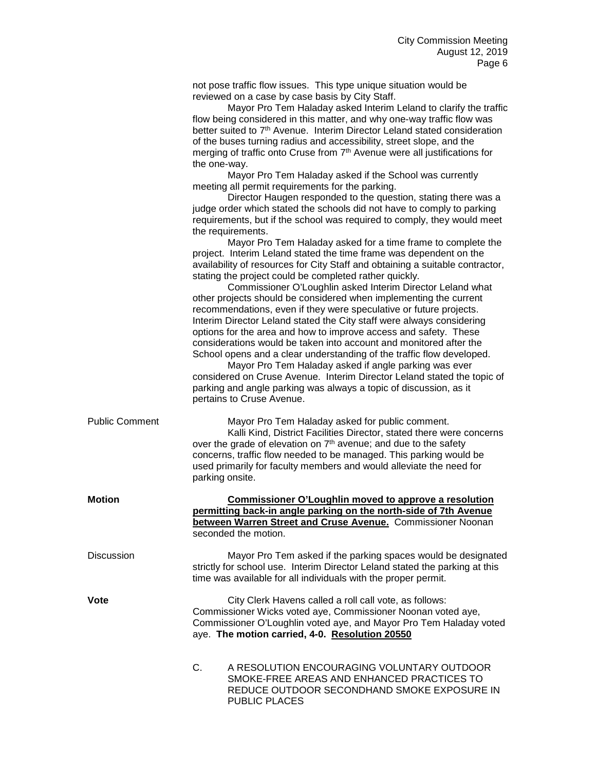not pose traffic flow issues. This type unique situation would be reviewed on a case by case basis by City Staff.

Mayor Pro Tem Haladay asked Interim Leland to clarify the traffic flow being considered in this matter, and why one-way traffic flow was better suited to 7<sup>th</sup> Avenue. Interim Director Leland stated consideration of the buses turning radius and accessibility, street slope, and the merging of traffic onto Cruse from  $7<sup>th</sup>$  Avenue were all justifications for the one-way.

Mayor Pro Tem Haladay asked if the School was currently meeting all permit requirements for the parking.

Director Haugen responded to the question, stating there was a judge order which stated the schools did not have to comply to parking requirements, but if the school was required to comply, they would meet the requirements.

Mayor Pro Tem Haladay asked for a time frame to complete the project. Interim Leland stated the time frame was dependent on the availability of resources for City Staff and obtaining a suitable contractor, stating the project could be completed rather quickly.

Commissioner O'Loughlin asked Interim Director Leland what other projects should be considered when implementing the current recommendations, even if they were speculative or future projects. Interim Director Leland stated the City staff were always considering options for the area and how to improve access and safety. These considerations would be taken into account and monitored after the School opens and a clear understanding of the traffic flow developed.

Mayor Pro Tem Haladay asked if angle parking was ever considered on Cruse Avenue. Interim Director Leland stated the topic of parking and angle parking was always a topic of discussion, as it pertains to Cruse Avenue.

| <b>Public Comment</b> |
|-----------------------|
|                       |

Mayor Pro Tem Haladay asked for public comment. Kalli Kind, District Facilities Director, stated there were concerns over the grade of elevation on 7<sup>th</sup> avenue; and due to the safety concerns, traffic flow needed to be managed. This parking would be used primarily for faculty members and would alleviate the need for parking onsite.

| Motion     | Commissioner O'Loughlin moved to approve a resolution                                                                                        |
|------------|----------------------------------------------------------------------------------------------------------------------------------------------|
|            | permitting back-in angle parking on the north-side of 7th Avenue                                                                             |
|            | between Warren Street and Cruse Avenue. Commissioner Noonan                                                                                  |
|            | seconded the motion.                                                                                                                         |
| Discussion | Mayor Pro Tem asked if the parking spaces would be designated<br>strictly for school use. Interim Director Leland stated the parking at this |

**Vote** City Clerk Havens called a roll call vote, as follows: Commissioner Wicks voted aye, Commissioner Noonan voted aye, Commissioner O'Loughlin voted aye, and Mayor Pro Tem Haladay voted aye. **The motion carried, 4-0. Resolution 20550**

time was available for all individuals with the proper permit.

C. A RESOLUTION ENCOURAGING VOLUNTARY OUTDOOR SMOKE-FREE AREAS AND ENHANCED PRACTICES TO REDUCE OUTDOOR SECONDHAND SMOKE EXPOSURE IN PUBLIC PLACES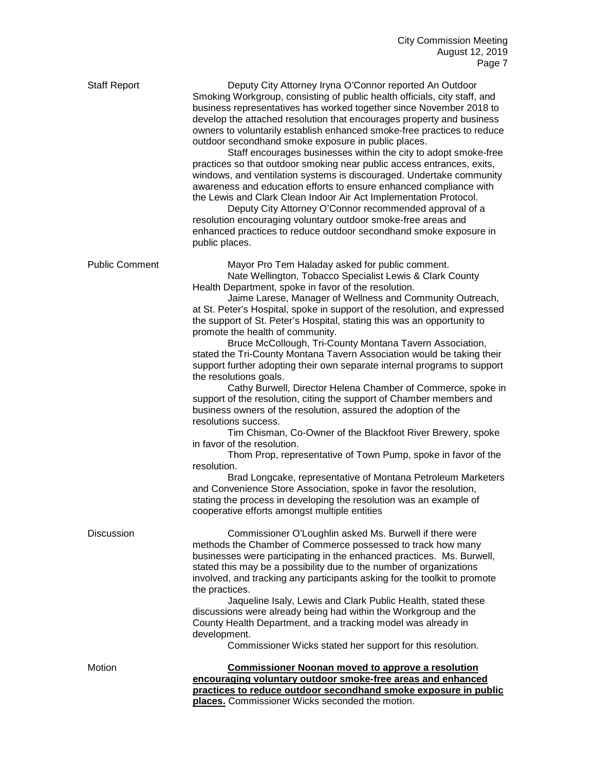| <b>Staff Report</b>   | Deputy City Attorney Iryna O'Connor reported An Outdoor<br>Smoking Workgroup, consisting of public health officials, city staff, and<br>business representatives has worked together since November 2018 to<br>develop the attached resolution that encourages property and business<br>owners to voluntarily establish enhanced smoke-free practices to reduce<br>outdoor secondhand smoke exposure in public places.<br>Staff encourages businesses within the city to adopt smoke-free<br>practices so that outdoor smoking near public access entrances, exits,<br>windows, and ventilation systems is discouraged. Undertake community<br>awareness and education efforts to ensure enhanced compliance with<br>the Lewis and Clark Clean Indoor Air Act Implementation Protocol.<br>Deputy City Attorney O'Connor recommended approval of a<br>resolution encouraging voluntary outdoor smoke-free areas and<br>enhanced practices to reduce outdoor secondhand smoke exposure in<br>public places.                                                                                                                                                                                                                                                                                                                                             |
|-----------------------|-------------------------------------------------------------------------------------------------------------------------------------------------------------------------------------------------------------------------------------------------------------------------------------------------------------------------------------------------------------------------------------------------------------------------------------------------------------------------------------------------------------------------------------------------------------------------------------------------------------------------------------------------------------------------------------------------------------------------------------------------------------------------------------------------------------------------------------------------------------------------------------------------------------------------------------------------------------------------------------------------------------------------------------------------------------------------------------------------------------------------------------------------------------------------------------------------------------------------------------------------------------------------------------------------------------------------------------------------------|
| <b>Public Comment</b> | Mayor Pro Tem Haladay asked for public comment.<br>Nate Wellington, Tobacco Specialist Lewis & Clark County<br>Health Department, spoke in favor of the resolution.<br>Jaime Larese, Manager of Wellness and Community Outreach,<br>at St. Peter's Hospital, spoke in support of the resolution, and expressed<br>the support of St. Peter's Hospital, stating this was an opportunity to<br>promote the health of community.<br>Bruce McCollough, Tri-County Montana Tavern Association,<br>stated the Tri-County Montana Tavern Association would be taking their<br>support further adopting their own separate internal programs to support<br>the resolutions goals.<br>Cathy Burwell, Director Helena Chamber of Commerce, spoke in<br>support of the resolution, citing the support of Chamber members and<br>business owners of the resolution, assured the adoption of the<br>resolutions success.<br>Tim Chisman, Co-Owner of the Blackfoot River Brewery, spoke<br>in favor of the resolution.<br>Thom Prop, representative of Town Pump, spoke in favor of the<br>resolution.<br>Brad Longcake, representative of Montana Petroleum Marketers<br>and Convenience Store Association, spoke in favor the resolution,<br>stating the process in developing the resolution was an example of<br>cooperative efforts amongst multiple entities |
| <b>Discussion</b>     | Commissioner O'Loughlin asked Ms. Burwell if there were<br>methods the Chamber of Commerce possessed to track how many<br>businesses were participating in the enhanced practices. Ms. Burwell,<br>stated this may be a possibility due to the number of organizations<br>involved, and tracking any participants asking for the toolkit to promote<br>the practices.<br>Jaqueline Isaly, Lewis and Clark Public Health, stated these<br>discussions were already being had within the Workgroup and the<br>County Health Department, and a tracking model was already in<br>development.<br>Commissioner Wicks stated her support for this resolution.                                                                                                                                                                                                                                                                                                                                                                                                                                                                                                                                                                                                                                                                                               |
| Motion                | <b>Commissioner Noonan moved to approve a resolution</b><br>encouraging voluntary outdoor smoke-free areas and enhanced<br>practices to reduce outdoor secondhand smoke exposure in public<br>places. Commissioner Wicks seconded the motion.                                                                                                                                                                                                                                                                                                                                                                                                                                                                                                                                                                                                                                                                                                                                                                                                                                                                                                                                                                                                                                                                                                         |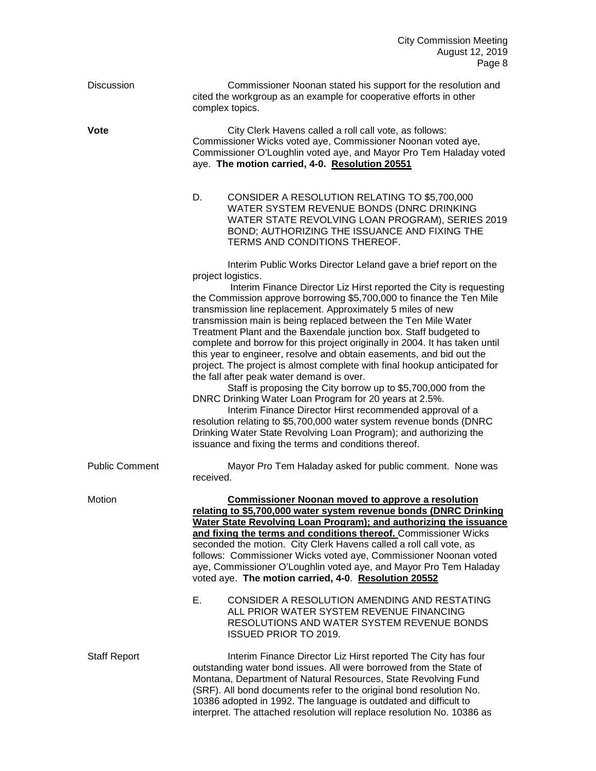| Discussion            | Commissioner Noonan stated his support for the resolution and<br>cited the workgroup as an example for cooperative efforts in other<br>complex topics.                                                                                                                                                                                                                                                                                                                                                                                                                                                                                                                                                                                                                                                                                                                                                                                                                                                                                                                                                                 |
|-----------------------|------------------------------------------------------------------------------------------------------------------------------------------------------------------------------------------------------------------------------------------------------------------------------------------------------------------------------------------------------------------------------------------------------------------------------------------------------------------------------------------------------------------------------------------------------------------------------------------------------------------------------------------------------------------------------------------------------------------------------------------------------------------------------------------------------------------------------------------------------------------------------------------------------------------------------------------------------------------------------------------------------------------------------------------------------------------------------------------------------------------------|
| <b>Vote</b>           | City Clerk Havens called a roll call vote, as follows:<br>Commissioner Wicks voted aye, Commissioner Noonan voted aye,<br>Commissioner O'Loughlin voted aye, and Mayor Pro Tem Haladay voted<br>aye. The motion carried, 4-0. Resolution 20551                                                                                                                                                                                                                                                                                                                                                                                                                                                                                                                                                                                                                                                                                                                                                                                                                                                                         |
|                       | D.<br>CONSIDER A RESOLUTION RELATING TO \$5,700,000<br>WATER SYSTEM REVENUE BONDS (DNRC DRINKING<br>WATER STATE REVOLVING LOAN PROGRAM), SERIES 2019<br>BOND; AUTHORIZING THE ISSUANCE AND FIXING THE<br>TERMS AND CONDITIONS THEREOF.                                                                                                                                                                                                                                                                                                                                                                                                                                                                                                                                                                                                                                                                                                                                                                                                                                                                                 |
|                       | Interim Public Works Director Leland gave a brief report on the<br>project logistics.<br>Interim Finance Director Liz Hirst reported the City is requesting<br>the Commission approve borrowing \$5,700,000 to finance the Ten Mile<br>transmission line replacement. Approximately 5 miles of new<br>transmission main is being replaced between the Ten Mile Water<br>Treatment Plant and the Baxendale junction box. Staff budgeted to<br>complete and borrow for this project originally in 2004. It has taken until<br>this year to engineer, resolve and obtain easements, and bid out the<br>project. The project is almost complete with final hookup anticipated for<br>the fall after peak water demand is over.<br>Staff is proposing the City borrow up to \$5,700,000 from the<br>DNRC Drinking Water Loan Program for 20 years at 2.5%.<br>Interim Finance Director Hirst recommended approval of a<br>resolution relating to \$5,700,000 water system revenue bonds (DNRC<br>Drinking Water State Revolving Loan Program); and authorizing the<br>issuance and fixing the terms and conditions thereof. |
| <b>Public Comment</b> | Mayor Pro Tem Haladay asked for public comment. None was<br>received.                                                                                                                                                                                                                                                                                                                                                                                                                                                                                                                                                                                                                                                                                                                                                                                                                                                                                                                                                                                                                                                  |
| Motion                | <b>Commissioner Noonan moved to approve a resolution</b><br>relating to \$5,700,000 water system revenue bonds (DNRC Drinking<br>Water State Revolving Loan Program); and authorizing the issuance<br>and fixing the terms and conditions thereof. Commissioner Wicks<br>seconded the motion. City Clerk Havens called a roll call vote, as<br>follows: Commissioner Wicks voted aye, Commissioner Noonan voted<br>aye, Commissioner O'Loughlin voted aye, and Mayor Pro Tem Haladay<br>voted aye. The motion carried, 4-0. Resolution 20552                                                                                                                                                                                                                                                                                                                                                                                                                                                                                                                                                                           |
|                       | Е.<br>CONSIDER A RESOLUTION AMENDING AND RESTATING<br>ALL PRIOR WATER SYSTEM REVENUE FINANCING<br>RESOLUTIONS AND WATER SYSTEM REVENUE BONDS<br><b>ISSUED PRIOR TO 2019.</b>                                                                                                                                                                                                                                                                                                                                                                                                                                                                                                                                                                                                                                                                                                                                                                                                                                                                                                                                           |
| <b>Staff Report</b>   | Interim Finance Director Liz Hirst reported The City has four<br>outstanding water bond issues. All were borrowed from the State of<br>Montana, Department of Natural Resources, State Revolving Fund<br>(SRF). All bond documents refer to the original bond resolution No.<br>10386 adopted in 1992. The language is outdated and difficult to<br>interpret. The attached resolution will replace resolution No. 10386 as                                                                                                                                                                                                                                                                                                                                                                                                                                                                                                                                                                                                                                                                                            |